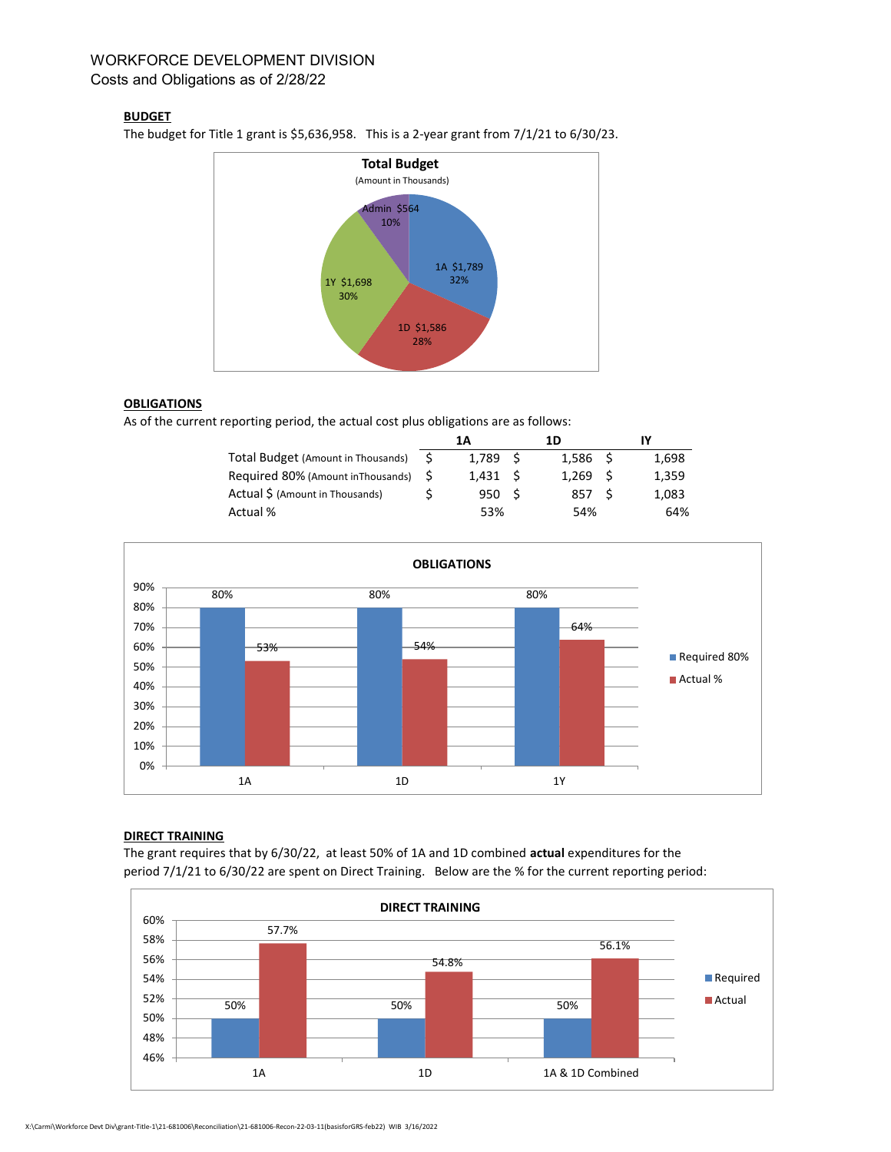# WORKFORCE DEVELOPMENT DIVISION Costs and Obligations as of 2/28/22

### **BUDGET**

The budget for Title 1 grant is \$5,636,958. This is a 2-year grant from 7/1/21 to 6/30/23.



## **OBLIGATIONS**

As of the current reporting period, the actual cost plus obligations are as follows:

|                                    | 1Α     |       | 1D   |                    |       |
|------------------------------------|--------|-------|------|--------------------|-------|
| Total Budget (Amount in Thousands) | - 5    | 1.789 | - S  | 1.586 <sub>5</sub> | 1.698 |
| Required 80% (Amount inThousands)  | $\sim$ | 1.431 | - S  | 1.269 <sub>5</sub> | 1.359 |
| Actual \$ (Amount in Thousands)    |        | 950   | - \$ | 857 S              | 1.083 |
| Actual %                           |        | 53%   |      | 54%                | 64%   |



#### DIRECT TRAINING

The grant requires that by 6/30/22, at least 50% of 1A and 1D combined actual expenditures for the period 7/1/21 to 6/30/22 are spent on Direct Training. Below are the % for the current reporting period: